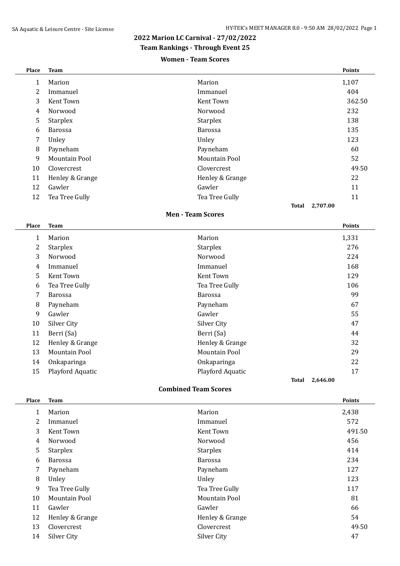### **2022 Marion LC Carnival - 27/02/2022**

**Team Rankings - Through Event 25**

#### **Women - Team Scores**

| Place | <b>Team</b>     |                 | <b>Points</b>     |
|-------|-----------------|-----------------|-------------------|
| 1     | Marion          | Marion          | 1,107             |
| 2     | Immanuel        | Immanuel        | 404               |
| 3     | Kent Town       | Kent Town       | 362.50            |
| 4     | Norwood         | Norwood         | 232               |
| 5     | <b>Starplex</b> | <b>Starplex</b> | 138               |
| 6     | <b>Barossa</b>  | <b>Barossa</b>  | 135               |
| 7     | Unley           | Unley           | 123               |
| 8     | Payneham        | Payneham        | 60                |
| 9     | Mountain Pool   | Mountain Pool   | 52                |
| 10    | Clovercrest     | Clovercrest     | 49.50             |
| 11    | Henley & Grange | Henley & Grange | 22                |
| 12    | Gawler          | Gawler          | 11                |
| 12    | Tea Tree Gully  | Tea Tree Gully  | 11                |
|       |                 |                 | 2,707.00<br>Total |

#### **Men - Team Scores**

| Place | <b>Team</b>      |                      | <b>Points</b>     |
|-------|------------------|----------------------|-------------------|
| 1     | Marion           | Marion               | 1,331             |
| 2     | <b>Starplex</b>  | <b>Starplex</b>      | 276               |
| 3     | Norwood          | Norwood              | 224               |
| 4     | Immanuel         | Immanuel             | 168               |
| 5     | Kent Town        | Kent Town            | 129               |
| 6     | Tea Tree Gully   | Tea Tree Gully       | 106               |
| 7     | <b>Barossa</b>   | <b>Barossa</b>       | 99                |
| 8     | Payneham         | Payneham             | 67                |
| 9     | Gawler           | Gawler               | 55                |
| 10    | Silver City      | Silver City          | 47                |
| 11    | Berri (Sa)       | Berri (Sa)           | 44                |
| 12    | Henley & Grange  | Henley & Grange      | 32                |
| 13    | Mountain Pool    | <b>Mountain Pool</b> | 29                |
| 14    | Onkaparinga      | Onkaparinga          | 22                |
| 15    | Playford Aquatic | Playford Aquatic     | 17                |
|       |                  |                      | 2,646.00<br>Total |

#### **Combined Team Scores**

| Place | <b>Team</b>          |                      | <b>Points</b> |
|-------|----------------------|----------------------|---------------|
| 1     | Marion               | Marion               | 2,438         |
| 2     | Immanuel             | Immanuel             | 572           |
| 3     | Kent Town            | Kent Town            | 491.50        |
| 4     | Norwood              | Norwood              | 456           |
| 5     | <b>Starplex</b>      | <b>Starplex</b>      | 414           |
| 6     | <b>Barossa</b>       | <b>Barossa</b>       | 234           |
| 7     | Payneham             | Payneham             | 127           |
| 8     | Unley                | Unley                | 123           |
| 9     | Tea Tree Gully       | Tea Tree Gully       | 117           |
| 10    | <b>Mountain Pool</b> | <b>Mountain Pool</b> | 81            |
| 11    | Gawler               | Gawler               | 66            |
| 12    | Henley & Grange      | Henley & Grange      | 54            |
| 13    | Clovercrest          | Clovercrest          | 49.50         |
| 14    | Silver City          | Silver City          | 47            |